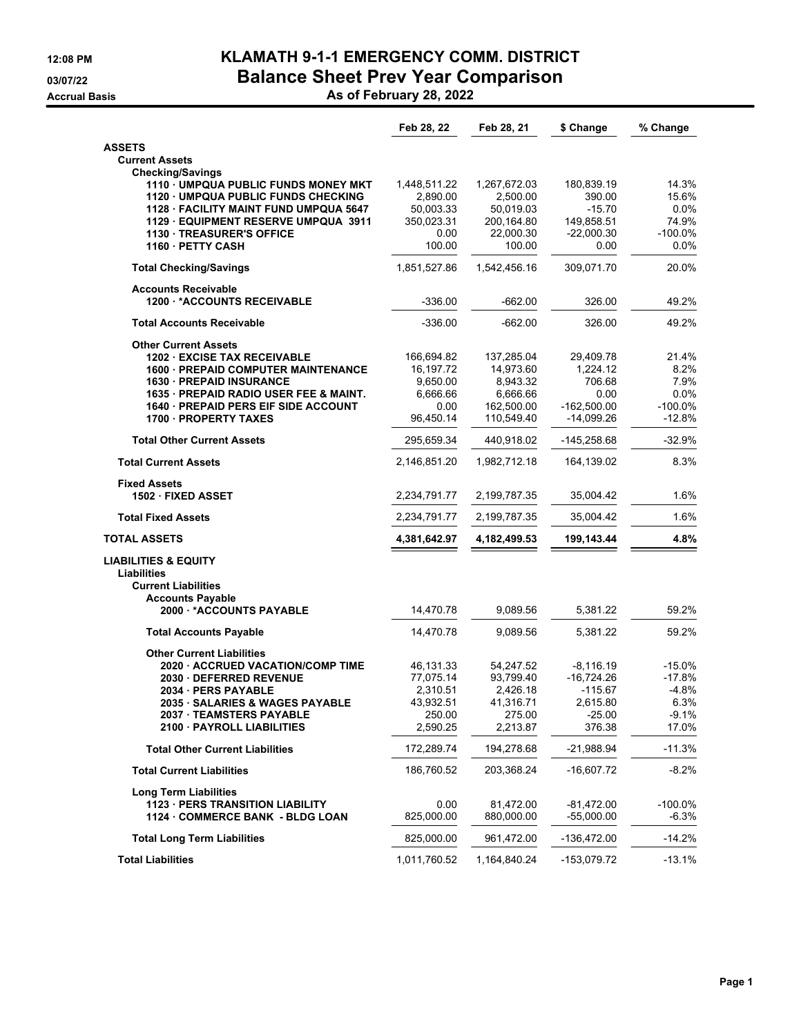## **12:08 PM KLAMATH 9-1-1 EMERGENCY COMM. DISTRICT 03/07/22 Balance Sheet Prev Year Comparison**

**Accrual Basis As of February 28, 2022**

|                                                                      | Feb 28, 22            | Feb 28, 21              | \$ Change                  | % Change        |
|----------------------------------------------------------------------|-----------------------|-------------------------|----------------------------|-----------------|
| <b>ASSETS</b>                                                        |                       |                         |                            |                 |
| <b>Current Assets</b>                                                |                       |                         |                            |                 |
| <b>Checking/Savings</b>                                              |                       |                         |                            |                 |
| 1110 UMPQUA PUBLIC FUNDS MONEY MKT                                   | 1,448,511.22          | 1,267,672.03            | 180,839.19                 | 14.3%           |
| 1120 · UMPQUA PUBLIC FUNDS CHECKING                                  | 2,890.00              | 2,500.00                | 390.00                     | 15.6%           |
| 1128 FACILITY MAINT FUND UMPQUA 5647                                 | 50,003.33             | 50,019.03               | $-15.70$                   | 0.0%<br>74.9%   |
| 1129 EQUIPMENT RESERVE UMPQUA 3911<br><b>1130 TREASURER'S OFFICE</b> | 350,023.31<br>0.00    | 200,164.80<br>22,000.30 | 149,858.51<br>$-22,000.30$ | $-100.0%$       |
| 1160 PETTY CASH                                                      | 100.00                | 100.00                  | 0.00                       | 0.0%            |
|                                                                      |                       |                         |                            |                 |
| <b>Total Checking/Savings</b>                                        | 1,851,527.86          | 1,542,456.16            | 309,071.70                 | 20.0%           |
| <b>Accounts Receivable</b><br><b>1200 *ACCOUNTS RECEIVABLE</b>       | $-336.00$             | $-662.00$               | 326.00                     | 49.2%           |
| <b>Total Accounts Receivable</b>                                     | $-336.00$             | $-662.00$               | 326.00                     | 49.2%           |
| <b>Other Current Assets</b>                                          |                       |                         |                            |                 |
| <b>1202 EXCISE TAX RECEIVABLE</b>                                    | 166,694.82            | 137,285.04              | 29,409.78                  | 21.4%           |
| <b>1600 - PREPAID COMPUTER MAINTENANCE</b>                           | 16,197.72             | 14,973.60               | 1,224.12                   | 8.2%            |
| <b>1630 PREPAID INSURANCE</b>                                        | 9,650.00              | 8,943.32                | 706.68                     | 7.9%            |
| 1635 · PREPAID RADIO USER FEE & MAINT.                               | 6,666.66              | 6,666.66                | 0.00                       | 0.0%            |
| <b>1640 - PREPAID PERS EIF SIDE ACCOUNT</b>                          | 0.00                  | 162,500.00              | $-162,500.00$              | $-100.0%$       |
| <b>1700 PROPERTY TAXES</b>                                           | 96,450.14             | 110,549.40              | -14,099.26                 | $-12.8%$        |
| <b>Total Other Current Assets</b>                                    | 295,659.34            | 440,918.02              | -145,258.68                | $-32.9%$        |
| <b>Total Current Assets</b>                                          | 2,146,851.20          | 1,982,712.18            | 164,139.02                 | 8.3%            |
| <b>Fixed Assets</b>                                                  |                       |                         |                            |                 |
| 1502 FIXED ASSET                                                     | 2,234,791.77          | 2,199,787.35            | 35,004.42                  | 1.6%            |
| <b>Total Fixed Assets</b>                                            | 2,234,791.77          | 2,199,787.35            | 35,004.42                  | 1.6%            |
| <b>TOTAL ASSETS</b>                                                  | 4,381,642.97          | 4,182,499.53            | 199,143.44                 | 4.8%            |
| <b>LIABILITIES &amp; EQUITY</b>                                      |                       |                         |                            |                 |
| Liabilities                                                          |                       |                         |                            |                 |
| <b>Current Liabilities</b>                                           |                       |                         |                            |                 |
| <b>Accounts Payable</b>                                              |                       |                         |                            |                 |
| 2000 *ACCOUNTS PAYABLE                                               | 14,470.78             | 9,089.56                | 5,381.22                   | 59.2%           |
| <b>Total Accounts Payable</b>                                        | 14,470.78             | 9,089.56                | 5,381.22                   | 59.2%           |
| <b>Other Current Liabilities</b>                                     |                       |                         |                            |                 |
| 2020 ACCRUED VACATION/COMP TIME                                      | 46,131.33             | 54,247.52               | $-8,116.19$                | $-15.0%$        |
| 2030 DEFERRED REVENUE                                                | 77,075.14             | 93,799.40               | $-16,724.26$               | $-17.8%$        |
| 2034 - PERS PAYABLE                                                  | 2,310.51<br>43,932.51 | 2,426.18                | $-115.67$<br>2,615.80      | $-4.8%$<br>6.3% |
| 2035 · SALARIES & WAGES PAYABLE                                      | 250.00                | 41,316.71<br>275.00     | $-25.00$                   | $-9.1%$         |
| 2037 TEAMSTERS PAYABLE<br>2100 PAYROLL LIABILITIES                   | 2,590.25              | 2,213.87                | 376.38                     | 17.0%           |
|                                                                      |                       |                         |                            |                 |
| <b>Total Other Current Liabilities</b>                               | 172,289.74            | 194,278.68              | $-21,988.94$               | $-11.3%$        |
| <b>Total Current Liabilities</b>                                     | 186,760.52            | 203.368.24              | $-16,607.72$               | $-8.2%$         |
| <b>Long Term Liabilities</b>                                         |                       |                         |                            |                 |
| <b>1123 PERS TRANSITION LIABILITY</b>                                | 0.00                  | 81,472.00               | $-81,472.00$               | $-100.0%$       |
| 1124 COMMERCE BANK - BLDG LOAN                                       | 825,000.00            | 880,000.00              | $-55,000.00$               | -6.3%           |
| <b>Total Long Term Liabilities</b>                                   | 825,000.00            | 961,472.00              | -136,472.00                | -14.2%          |
| <b>Total Liabilities</b>                                             |                       |                         |                            |                 |